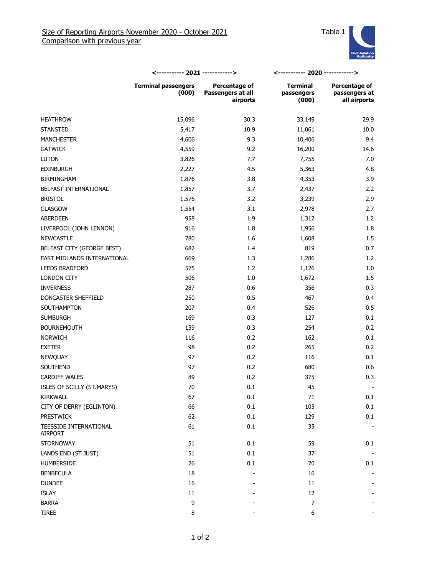

|                                   | <----------- 2021 ------------>     |                                                | <----------- 2020 ------------>        |                                                |
|-----------------------------------|-------------------------------------|------------------------------------------------|----------------------------------------|------------------------------------------------|
|                                   | <b>Terminal passengers</b><br>(000) | Percentage of<br>Passengers at all<br>airports | <b>Terminal</b><br>passengers<br>(000) | Percentage of<br>passengers at<br>all airports |
| <b>HEATHROW</b>                   | 15,096                              | 30.3                                           | 33,149                                 | 29.9                                           |
| <b>STANSTED</b>                   | 5,417                               | 10.9                                           | 11,061                                 | 10.0                                           |
| <b>MANCHESTER</b>                 | 4,606                               | 9.3                                            | 10,406                                 | 9.4                                            |
| <b>GATWICK</b>                    | 4,559                               | 9.2                                            | 16,200                                 | 14.6                                           |
| <b>LUTON</b>                      | 3,826                               | 7.7                                            | 7,755                                  | 7.0                                            |
| <b>EDINBURGH</b>                  | 2,227                               | 4.5                                            | 5,363                                  | 4.8                                            |
| <b>BIRMINGHAM</b>                 | 1,876                               | 3.8                                            | 4,353                                  | 3.9                                            |
| BELFAST INTERNATIONAL             | 1,857                               | 3.7                                            | 2,437                                  | 2.2                                            |
| <b>BRISTOL</b>                    | 1,576                               | 3.2                                            | 3,239                                  | 2.9                                            |
| GLASGOW                           | 1,554                               | 3.1                                            | 2,978                                  | 2.7                                            |
| <b>ABERDEEN</b>                   | 958                                 | 1.9                                            | 1,312                                  | 1.2                                            |
| LIVERPOOL (JOHN LENNON)           | 916                                 | 1.8                                            | 1,956                                  | 1.8                                            |
| <b>NEWCASTLE</b>                  | 780                                 | 1.6                                            | 1,608                                  | 1.5                                            |
| BELFAST CITY (GEORGE BEST)        | 682                                 | 1.4                                            | 819                                    | 0.7                                            |
| EAST MIDLANDS INTERNATIONAL       | 669                                 | 1.3                                            | 1,286                                  | 1.2                                            |
| <b>LEEDS BRADFORD</b>             | 575                                 | 1.2                                            | 1,126                                  | 1.0                                            |
| LONDON CITY                       | 506                                 | 1.0                                            | 1,672                                  | 1.5                                            |
| <b>INVERNESS</b>                  | 287                                 | 0.6                                            | 356                                    | 0.3                                            |
| DONCASTER SHEFFIELD               | 250                                 | 0.5                                            | 467                                    | 0.4                                            |
| SOUTHAMPTON                       | 207                                 | 0.4                                            | 526                                    | 0.5                                            |
| <b>SUMBURGH</b>                   | 169                                 | 0.3                                            | 127                                    | 0.1                                            |
| <b>BOURNEMOUTH</b>                | 159                                 | 0.3                                            | 254                                    | 0.2                                            |
| <b>NORWICH</b>                    | 116                                 | 0.2                                            | 162                                    | 0.1                                            |
| <b>EXETER</b>                     | 98                                  | 0.2                                            | 265                                    | 0.2                                            |
| NEWQUAY                           | 97                                  | 0.2                                            | 116                                    | 0.1                                            |
| SOUTHEND                          | 97                                  | 0.2                                            | 680                                    | 0.6                                            |
| <b>CARDIFF WALES</b>              | 89                                  | 0.2                                            | 375                                    | 0.3                                            |
| ISLES OF SCILLY (ST.MARYS)        | 70                                  | 0.1                                            | 45                                     |                                                |
| KIRKWALL                          | 67                                  | 0.1                                            | $71\,$                                 | 0.1                                            |
| CITY OF DERRY (EGLINTON)          | 66                                  | 0.1                                            | 105                                    | 0.1                                            |
| <b>PRESTWICK</b>                  | 62                                  | $0.1\,$                                        | 129                                    | 0.1                                            |
| TEESSIDE INTERNATIONAL<br>AIRPORT | 61                                  | $0.1\,$                                        | 35                                     |                                                |
| <b>STORNOWAY</b>                  | 51                                  | $0.1\,$                                        | 59                                     | 0.1                                            |
| LANDS END (ST JUST)               | 51                                  | $0.1\,$                                        | 37                                     |                                                |
| HUMBERSIDE                        | 26                                  | 0.1                                            | 70                                     | 0.1                                            |
| <b>BENBECULA</b>                  | 18                                  |                                                | 16                                     |                                                |
| <b>DUNDEE</b>                     | 16                                  |                                                | 11                                     |                                                |
| ISLAY                             | $11\,$                              |                                                | 12                                     |                                                |
| <b>BARRA</b>                      | $\mathsf 9$                         |                                                | 7                                      |                                                |
| TIREE                             | 8                                   |                                                | $\boldsymbol{6}$                       |                                                |